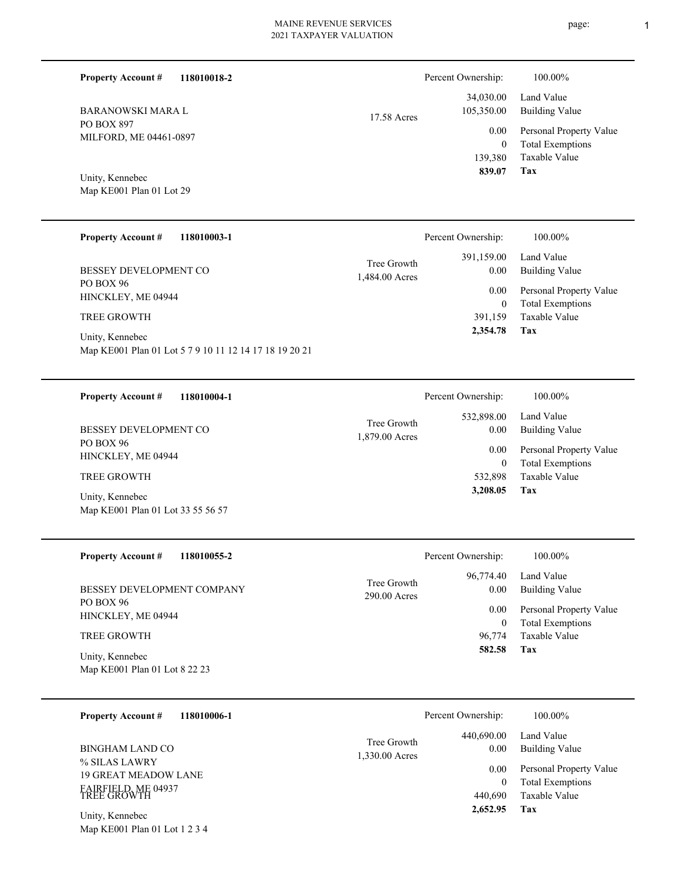page: 1

| 118010018-2<br><b>Property Account #</b> |             | Percent Ownership: | 100.00%                 |
|------------------------------------------|-------------|--------------------|-------------------------|
|                                          |             | 34,030.00          | Land Value              |
| <b>BARANOWSKI MARA L</b>                 | 17.58 Acres | 105,350.00         | Building Value          |
| PO BOX 897<br>MILFORD, ME 04461-0897     |             | 0.00               | Personal Property Value |
|                                          |             | $\mathbf{0}$       | <b>Total Exemptions</b> |
|                                          |             | 139.380            | Taxable Value           |
| Unity, Kennebec                          |             | 839.07             | Tax                     |

Map KE001 Plan 01 Lot 29

| <b>Property Account #</b><br>118010003-1                                  | Percent Ownership:                                  | 100.00%                      |
|---------------------------------------------------------------------------|-----------------------------------------------------|------------------------------|
| BESSEY DEVELOPMENT CO                                                     | 391,159.00<br>Tree Growth<br>0.00<br>1,484.00 Acres | Land Value<br>Building Value |
| PO BOX 96<br>HINCKLEY, ME 04944                                           | 0.00                                                | Personal Property Value      |
|                                                                           | $\overline{0}$                                      | <b>Total Exemptions</b>      |
| <b>TREE GROWTH</b>                                                        | 391.159                                             | Taxable Value                |
| Unity, Kennebec<br>Map KE001 Plan 01 Lot 5 7 9 10 11 12 14 17 18 19 20 21 | 2,354.78                                            | Tax                          |

| 118010004-1<br><b>Property Account #</b>             | Percent Ownership:                                  | 100.00%                      |
|------------------------------------------------------|-----------------------------------------------------|------------------------------|
| <b>BESSEY DEVELOPMENT CO</b>                         | 532,898.00<br>Tree Growth<br>0.00<br>1,879.00 Acres | Land Value<br>Building Value |
| PO BOX 96<br>HINCKLEY, ME 04944                      | 0.00                                                | Personal Property Value      |
|                                                      | $\mathbf{0}$                                        | <b>Total Exemptions</b>      |
| <b>TREE GROWTH</b>                                   | 532,898                                             | Taxable Value                |
| Unity, Kennebec<br>Map KE001 Plan 01 Lot 33 55 56 57 | 3,208.05                                            | Tax                          |

| <b>Property Account #</b><br>118010055-2         | Percent Ownership:            |                   | 100.00%                             |
|--------------------------------------------------|-------------------------------|-------------------|-------------------------------------|
| BESSEY DEVELOPMENT COMPANY                       | Tree Growth<br>$290.00$ Acres | 96,774.40<br>0.00 | Land Value<br><b>Building Value</b> |
| PO BOX 96<br>HINCKLEY, ME 04944                  |                               | 0.00              | Personal Property Value             |
|                                                  |                               | $\mathbf{0}$      | <b>Total Exemptions</b>             |
| <b>TREE GROWTH</b>                               |                               | 96,774            | Taxable Value                       |
| Unity, Kennebec<br>Map KE001 Plan 01 Lot 8 22 23 |                               | 582.58            | Tax                                 |

| 118010006-1<br><b>Property Account #</b>         | Percent Ownership:                          | 100.00%                                                    |
|--------------------------------------------------|---------------------------------------------|------------------------------------------------------------|
| BINGHAM LAND CO<br>% SILAS LAWRY                 | 440,690.00<br>Tree Growth<br>1,330.00 Acres | Land Value<br>Building Value<br>0.00                       |
| <b>19 GREAT MEADOW LANE</b>                      |                                             | Personal Property Value<br>0.00<br><b>Total Exemptions</b> |
| FAIRFIELD, ME 04937<br>TREE GROWTH               | 440,690                                     | Taxable Value                                              |
| Unity, Kennebec<br>Map KE001 Plan 01 Lot 1 2 3 4 | 2,652.95                                    | Tax                                                        |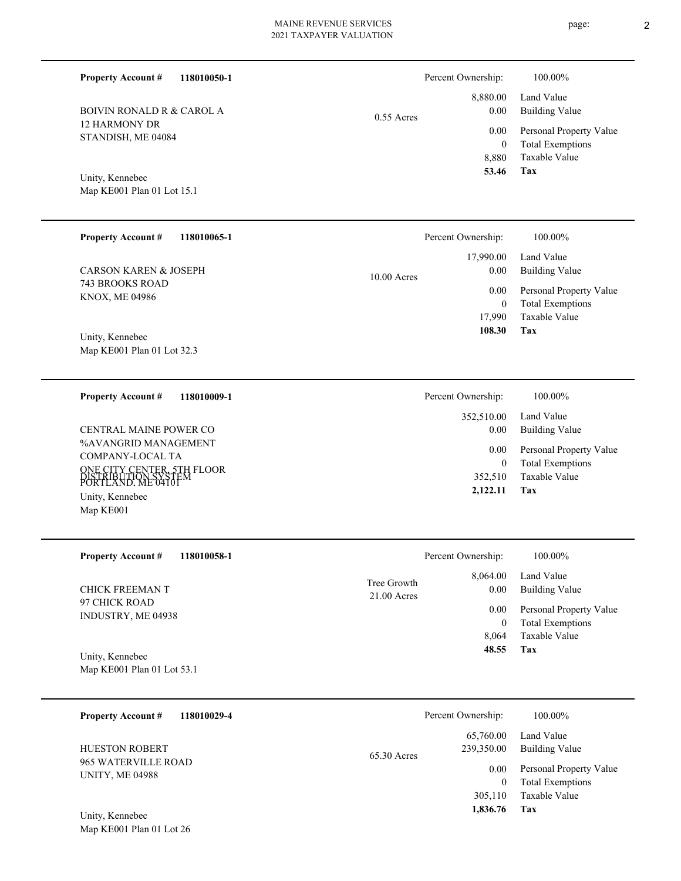0.55 Acres

**118010050-1**

| BOIVIN RONALD R & CAROL A |
|---------------------------|
| 12 HARMONY DR             |
| STANDISH, ME 04084        |

Map KE001 Plan 01 Lot 15.1 Unity, Kennebec

**Property Account #**

| <b>Property Account #</b><br>118010065-1      | Percent Ownership:                 | 100.00%                                            |
|-----------------------------------------------|------------------------------------|----------------------------------------------------|
| <b>CARSON KAREN &amp; JOSEPH</b>              | 17,990.00<br>0.00<br>$10.00$ Acres | Land Value<br>Building Value                       |
| 743 BROOKS ROAD<br><b>KNOX, ME 04986</b>      | 0.00<br>$\mathbf{0}$               | Personal Property Value<br><b>Total Exemptions</b> |
|                                               | 17.990                             | Taxable Value                                      |
| Unity, Kennebec<br>Map KE001 Plan 01 Lot 32.3 | 108.30                             | Tax                                                |

| 118010009-1<br><b>Property Account #</b>                                                                                                            | Percent Ownership:               | 100.00%                                                                    |
|-----------------------------------------------------------------------------------------------------------------------------------------------------|----------------------------------|----------------------------------------------------------------------------|
|                                                                                                                                                     | 352,510.00                       | Land Value                                                                 |
| CENTRAL MAINE POWER CO                                                                                                                              | 0.00                             | Building Value                                                             |
| %AVANGRID MANAGEMENT<br>COMPANY-LOCAL TA<br>ONE CITY CENTER, 5TH FLOOR<br>DISTRIBUTION SYSTEM<br>PORTLAND, ME 04101<br>Unity, Kennebec<br>Map KE001 | 0.00<br>0<br>352.510<br>2,122.11 | Personal Property Value<br><b>Total Exemptions</b><br>Taxable Value<br>Tax |

| <b>Property Account #</b><br>118010058-1      | Percent Ownership:                               | 100.00%                                                        |
|-----------------------------------------------|--------------------------------------------------|----------------------------------------------------------------|
| CHICK FREEMAN T                               | 8,064.00<br>Tree Growth<br>0.00<br>$21.00$ Acres | Land Value<br><b>Building Value</b>                            |
| 97 CHICK ROAD<br>INDUSTRY, ME 04938           | 0.00                                             | Personal Property Value<br><b>Total Exemptions</b><br>$\theta$ |
|                                               | 8.064                                            | Taxable Value                                                  |
| Unity, Kennebec<br>Map KE001 Plan 01 Lot 53.1 | 48.55                                            | Tax                                                            |

| 118010029-4<br><b>Property Account #</b>      | Percent Ownership:                       | 100.00%                                            |
|-----------------------------------------------|------------------------------------------|----------------------------------------------------|
| <b>HUESTON ROBERT</b>                         | 65,760.00<br>239,350.00<br>$65.30$ Acres | Land Value<br><b>Building Value</b>                |
| 965 WATERVILLE ROAD<br><b>UNITY, ME 04988</b> | 0.00<br>0                                | Personal Property Value<br><b>Total Exemptions</b> |
|                                               | 305,110                                  | Taxable Value                                      |
| Unity, Kennebec<br>Map KE001 Plan 01 Lot 26   | 1,836.76                                 | Tax                                                |

**Tax**

 8,880 0

 8,880.00 0.00 0.00

Percent Ownership:  $100.00\%$ 

 **53.46**

Taxable Value Total Exemptions Personal Property Value

Building Value Land Value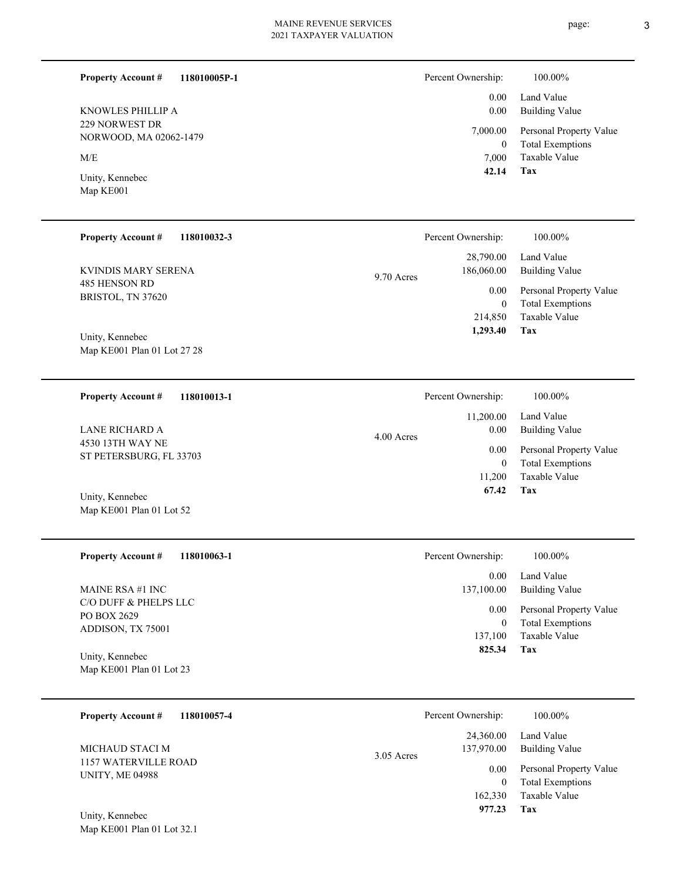#### **118010005P-1 Property Account #**

229 NORWEST DR NORWOOD, MA 02062-1479 KNOWLES PHILLIP A

Map KE001 Plan 01 Lot 32.1

 $\ensuremath{\text{M/E}}$ 

Map KE001 Unity, Kennebec

| Percent Ownership: | 100.00%                                              |
|--------------------|------------------------------------------------------|
|                    | 0.00 Land Value<br>0.00 Building Value               |
|                    | 7,000.00 Personal Property Value<br>Total Exemptions |

**Tax 42.14** Taxable Value 7,000 Total Exemptions  $\mathbf{0}$ 

| <b>Property Account #</b><br>118010032-3 | Percent Ownership:                    | 100.00%                                            |
|------------------------------------------|---------------------------------------|----------------------------------------------------|
| KVINDIS MARY SERENA                      | 28,790.00<br>186,060.00<br>9.70 Acres | Land Value<br>Building Value                       |
| 485 HENSON RD<br>BRISTOL, TN 37620       | 0.00<br>$\mathbf{0}$                  | Personal Property Value<br><b>Total Exemptions</b> |
| Unity, Kennebec                          | 214,850<br>1,293.40                   | Taxable Value<br>Tax                               |
| Map KE001 Plan 01 Lot 27 28              |                                       |                                                    |

| 118010013-1<br><b>Property Account #</b>    | Percent Ownership: | 100.00%                 |
|---------------------------------------------|--------------------|-------------------------|
|                                             | 11,200.00          | Land Value              |
| LANE RICHARD A                              | 0.00<br>4.00 Acres | <b>Building Value</b>   |
| 4530 13TH WAY NE<br>ST PETERSBURG, FL 33703 | 0.00               | Personal Property Value |
|                                             | $\mathbf{0}$       | <b>Total Exemptions</b> |
|                                             | 11.200             | Taxable Value           |
| Unity, Kennebec                             | 67.42              | Tax                     |
| Map KE001 Plan 01 Lot 52                    |                    |                         |

| <b>Property Account #</b><br>118010063-1                  | Percent Ownership:          | 100.00%                                                             |
|-----------------------------------------------------------|-----------------------------|---------------------------------------------------------------------|
|                                                           | 0.00                        | Land Value                                                          |
| MAINE RSA #1 INC                                          | 137,100.00                  | <b>Building Value</b>                                               |
| C/O DUFF & PHELPS LLC<br>PO BOX 2629<br>ADDISON, TX 75001 | 0.00<br>$\Omega$<br>137,100 | Personal Property Value<br><b>Total Exemptions</b><br>Taxable Value |
| Unity, Kennebec                                           | 825.34                      | Tax                                                                 |
| Map KE001 Plan 01 Lot 23                                  |                             |                                                                     |

| 118010057-4<br><b>Property Account #</b>       | Percent Ownership:                    | 100.00%                                            |
|------------------------------------------------|---------------------------------------|----------------------------------------------------|
| MICHAUD STACI M                                | 24,360.00<br>137,970.00<br>3.05 Acres | Land Value<br><b>Building Value</b>                |
| 1157 WATERVILLE ROAD<br><b>UNITY, ME 04988</b> | 0.00<br>$\theta$                      | Personal Property Value<br><b>Total Exemptions</b> |
|                                                | 162,330                               | Taxable Value                                      |
| Unity, Kennebec                                | 977.23                                | Tax                                                |

page: 3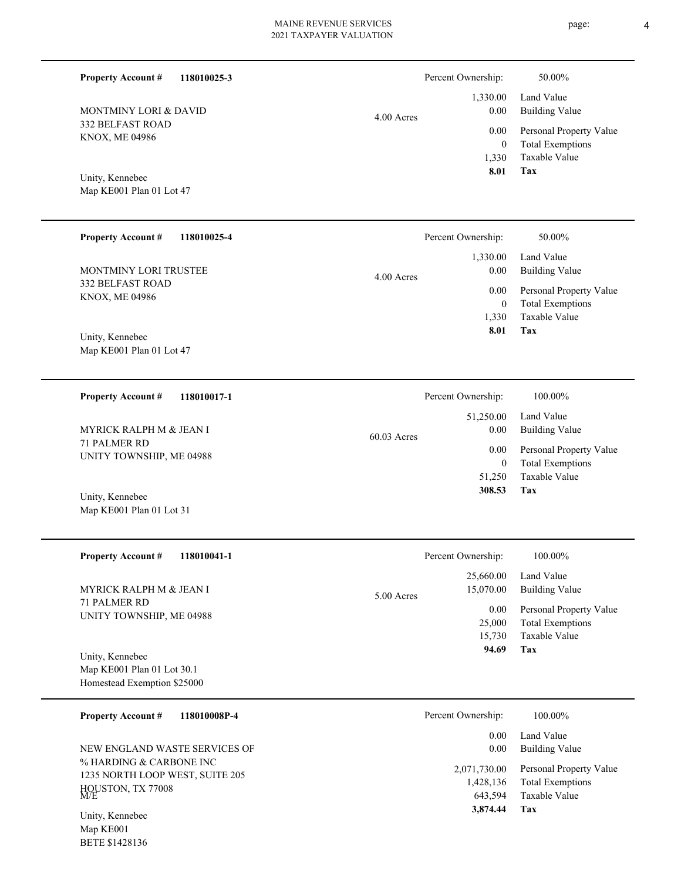**118010025-3 Property Account #**

332 BELFAST ROAD KNOX, ME 04986 MONTMINY LORI & DAVID

Map KE001 Plan 01 Lot 47 Unity, Kennebec

Map KE001 Plan 01 Lot 31

| <b>Property Account #</b><br>118010025-4         | Percent Ownership:             | 50.00%                                             |
|--------------------------------------------------|--------------------------------|----------------------------------------------------|
| <b>MONTMINY LORI TRUSTEE</b>                     | 1,330.00<br>0.00<br>4.00 Acres | Land Value<br>Building Value                       |
| <b>332 BELFAST ROAD</b><br><b>KNOX, ME 04986</b> | 0.00<br>0                      | Personal Property Value<br><b>Total Exemptions</b> |
|                                                  | 1,330                          | Taxable Value                                      |
| Unity, Kennebec                                  | 8.01                           | Tax                                                |
| Map KE001 Plan 01 Lot 47                         |                                |                                                    |

**118010017-1 Tax** Taxable Value Total Exemptions Personal Property Value Building Value Land Value 71 PALMER RD UNITY TOWNSHIP, ME 04988 **Property Account #** Unity, Kennebec MYRICK RALPH M & JEAN I 51,250 0  **308.53** 51,250.00 0.00 0.00 60.03 Acres Percent Ownership:  $100.00\%$ 

| <b>Property Account #</b><br>118010041-1                  | Percent Ownership:                   | 100.00%                                                             |
|-----------------------------------------------------------|--------------------------------------|---------------------------------------------------------------------|
| <b>MYRICK RALPH M &amp; JEAN I</b><br><b>71 PALMER RD</b> | 25,660.00<br>15,070.00<br>5.00 Acres | Land Value<br>Building Value                                        |
| UNITY TOWNSHIP, ME 04988                                  | 0.00<br>25,000                       | Personal Property Value<br><b>Total Exemptions</b><br>Taxable Value |
| Unity, Kennebec                                           | 15,730<br>94.69                      | Tax                                                                 |
| Map KE001 Plan 01 Lot 30.1<br>Homestead Exemption \$25000 |                                      |                                                                     |

**118010008P-4 Tax** Taxable Value Total Exemptions Personal Property Value Building Value Land Value % HARDING & CARBONE INC 1235 NORTH LOOP WEST, SUITE 205 HOUSTON, TX 77008 M/E **Property Account #** Unity, Kennebec NEW ENGLAND WASTE SERVICES OF 643,594 1,428,136  **3,874.44** 0.00 0.00 2,071,730.00 Percent Ownership:  $100.00\%$ 

Map KE001 BETE \$1428136

| iip: | 50.00% |  |
|------|--------|--|

|              | Percent Ownership: | 50.00%                  |
|--------------|--------------------|-------------------------|
|              |                    | 1,330.00 Land Value     |
| $4.00$ Acres | 0.00               | <b>Building Value</b>   |
|              | $0.00\,$           | Personal Property Value |
|              | $\theta$           | <b>Total Exemptions</b> |
|              | 1.330              | Taxable Value           |
|              | 8.01               | Tax                     |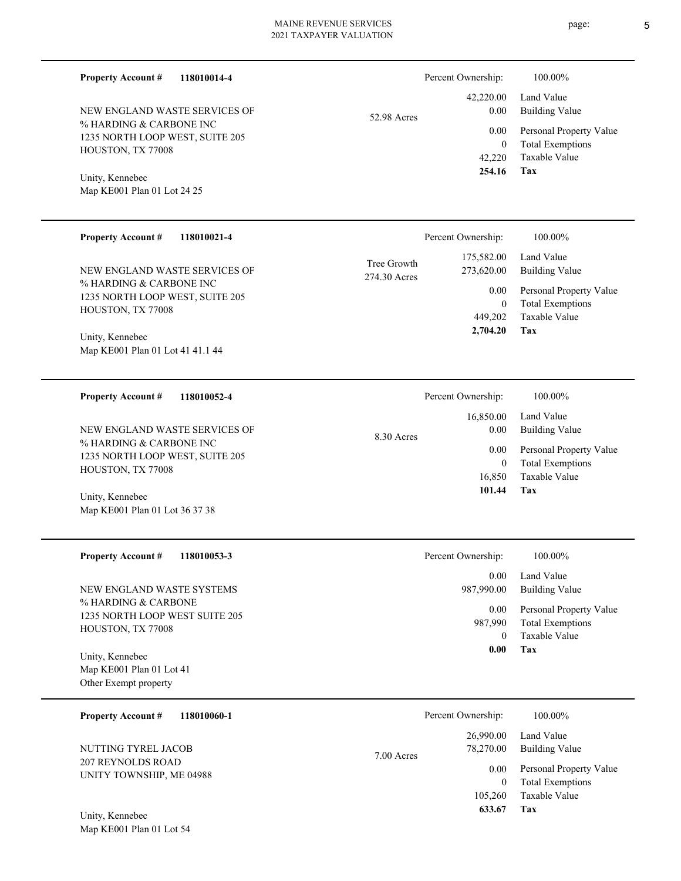| <b>Property Account #</b><br>118010014-4                                                                                                                                |                             | Percent Ownership:                                                      | 100.00%                                                                                                                  |
|-------------------------------------------------------------------------------------------------------------------------------------------------------------------------|-----------------------------|-------------------------------------------------------------------------|--------------------------------------------------------------------------------------------------------------------------|
| NEW ENGLAND WASTE SERVICES OF<br>% HARDING & CARBONE INC<br>1235 NORTH LOOP WEST, SUITE 205<br>HOUSTON, TX 77008<br>Unity, Kennebec<br>Map KE001 Plan 01 Lot 24 25      |                             | 42,220.00<br>0.00                                                       | Land Value<br><b>Building Value</b>                                                                                      |
|                                                                                                                                                                         | 52.98 Acres                 | 0.00<br>$\boldsymbol{0}$<br>42,220<br>254.16                            | Personal Property Value<br><b>Total Exemptions</b><br>Taxable Value<br>Tax                                               |
| <b>Property Account #</b><br>118010021-4                                                                                                                                |                             | Percent Ownership:                                                      | 100.00%                                                                                                                  |
| NEW ENGLAND WASTE SERVICES OF<br>% HARDING & CARBONE INC<br>1235 NORTH LOOP WEST, SUITE 205<br>HOUSTON, TX 77008<br>Unity, Kennebec<br>Map KE001 Plan 01 Lot 41 41.1 44 | Tree Growth<br>274.30 Acres | 175,582.00<br>273,620.00<br>0.00<br>$\mathbf{0}$<br>449,202<br>2,704.20 | Land Value<br><b>Building Value</b><br>Personal Property Value<br><b>Total Exemptions</b><br><b>Taxable Value</b><br>Tax |
| <b>Property Account #</b><br>118010052-4                                                                                                                                |                             | Percent Ownership:                                                      | 100.00%                                                                                                                  |
| NEW ENGLAND WASTE SERVICES OF<br>% HARDING & CARBONE INC<br>1235 NORTH LOOP WEST, SUITE 205<br>HOUSTON, TX 77008<br>Unity, Kennebec<br>Map KE001 Plan 01 Lot 36 37 38   | 8.30 Acres                  | 16,850.00<br>0.00<br>0.00<br>$\mathbf{0}$<br>16,850<br>101.44           | Land Value<br><b>Building Value</b><br>Personal Property Value<br><b>Total Exemptions</b><br>Taxable Value<br>Tax        |
| <b>Property Account #</b><br>118010053-3                                                                                                                                |                             | Percent Ownership:                                                      | 100.00%                                                                                                                  |
| NEW ENGLAND WASTE SYSTEMS                                                                                                                                               |                             | 0.00<br>987,990.00                                                      | Land Value<br><b>Building Value</b>                                                                                      |

% HARDING & CARBONE 1235 NORTH LOOP WEST SUITE 205 HOUSTON, TX 77008

Map KE001 Plan 01 Lot 41 Other Exempt property Unity, Kennebec

| <b>Property Account #</b><br>118010060-1             |            | Percent Ownership:     | 100.00%                                                             |
|------------------------------------------------------|------------|------------------------|---------------------------------------------------------------------|
| NUTTING TYREL JACOB                                  | 7.00 Acres | 26,990.00<br>78,270.00 | Land Value<br>Building Value                                        |
| <b>207 REYNOLDS ROAD</b><br>UNITY TOWNSHIP, ME 04988 |            | 0.00<br>0<br>105,260   | Personal Property Value<br><b>Total Exemptions</b><br>Taxable Value |
| Unity, Kennebec                                      |            | 633.67                 | Tax                                                                 |

**Tax 0.00**

 $\mathbf 0$ 987,990

Taxable Value Total Exemptions 0.00 Personal Property Value

Map KE001 Plan 01 Lot 54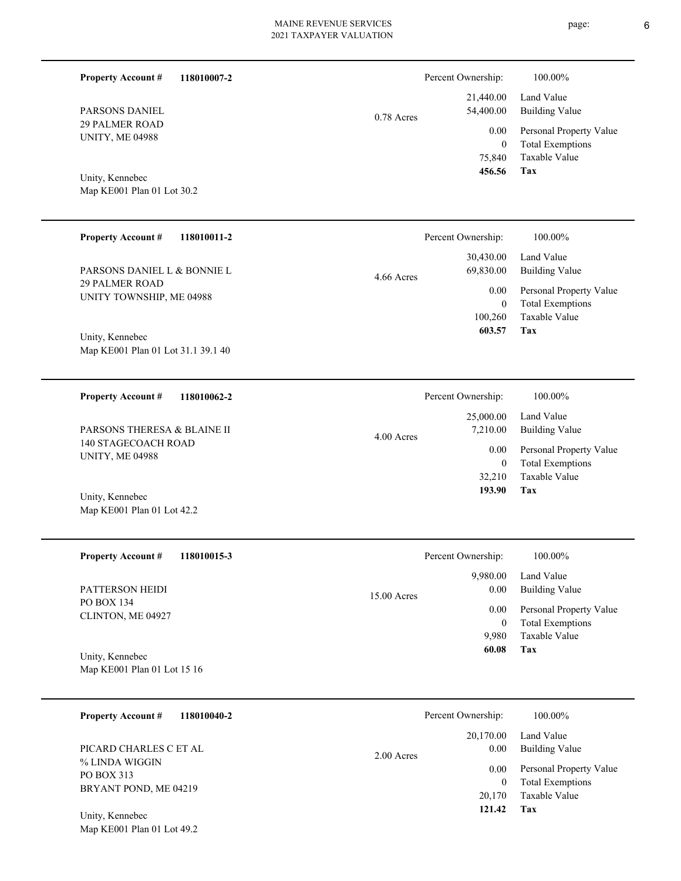| × |
|---|
|---|

| 118010007-2<br><b>Property Account #</b>              |              | Percent Ownership:                    | 100.00%                                                                           |
|-------------------------------------------------------|--------------|---------------------------------------|-----------------------------------------------------------------------------------|
| PARSONS DANIEL                                        | $0.78$ Acres | 21,440.00<br>54,400.00                | Land Value<br><b>Building Value</b>                                               |
| <b>29 PALMER ROAD</b><br><b>UNITY, ME 04988</b>       |              | 0.00<br>$\overline{0}$<br>75,840      | Personal Property Value<br><b>Total Exemptions</b><br><b>Taxable Value</b>        |
| Unity, Kennebec<br>Map KE001 Plan 01 Lot 30.2         |              | 456.56                                | Tax                                                                               |
| <b>Property Account #</b><br>118010011-2              |              | Percent Ownership:                    | 100.00%                                                                           |
| PARSONS DANIEL L & BONNIE L                           | 4.66 Acres   | 30,430.00<br>69,830.00                | Land Value<br><b>Building Value</b>                                               |
| <b>29 PALMER ROAD</b><br>UNITY TOWNSHIP, ME 04988     |              | 0.00<br>$\theta$<br>100,260<br>603.57 | Personal Property Value<br><b>Total Exemptions</b><br><b>Taxable Value</b><br>Tax |
| Unity, Kennebec<br>Map KE001 Plan 01 Lot 31.1 39.1 40 |              |                                       |                                                                                   |
| <b>Property Account #</b><br>118010062-2              |              | Percent Ownership:                    | 100.00%                                                                           |
| PARSONS THERESA & BLAINE II                           | $4.00$ Acres | 25,000.00<br>7,210.00                 | Land Value<br><b>Building Value</b>                                               |
| 140 STAGECOACH ROAD<br><b>UNITY, ME 04988</b>         |              | 0.00<br>$\overline{0}$                | Personal Property Value<br><b>Total Exemptions</b>                                |
| Unity, Kennebec<br>Map KE001 Plan 01 Lot 42.2         |              | 32,210<br>193.90                      | <b>Taxable Value</b><br>Tax                                                       |
| <b>Property Account #</b><br>118010015-3              |              | Percent Ownership:                    | 100.00%                                                                           |
| PATTERSON HEIDI                                       | 15.00 Acres  | 9,980.00<br>0.00                      | Land Value<br><b>Building Value</b>                                               |
| PO BOX 134<br>CLINTON, ME 04927                       |              | 0.00<br>$\mathbf{0}$                  | Personal Property Value<br><b>Total Exemptions</b>                                |
| Unity, Kennebec                                       |              | 9,980<br>60.08                        | Taxable Value<br>Tax                                                              |
| Map KE001 Plan 01 Lot 15 16                           |              |                                       |                                                                                   |
| <b>Property Account #</b><br>118010040-2              |              | Percent Ownership:                    | 100.00%                                                                           |
| PICARD CHARLES C ET AL                                | 2.00 Acres   | 20,170.00<br>0.00                     | Land Value<br><b>Building Value</b>                                               |
| % LINDA WIGGIN<br>PO BOX 313                          |              | 0.00<br>$\boldsymbol{0}$              | Personal Property Value<br><b>Total Exemptions</b>                                |
| BRYANT POND, ME 04219                                 |              | 20,170<br>121.42                      | Taxable Value<br>Tax                                                              |
| Unity, Kennebec<br>Map KE001 Plan 01 Lot 49.2         |              |                                       |                                                                                   |

 $6\,$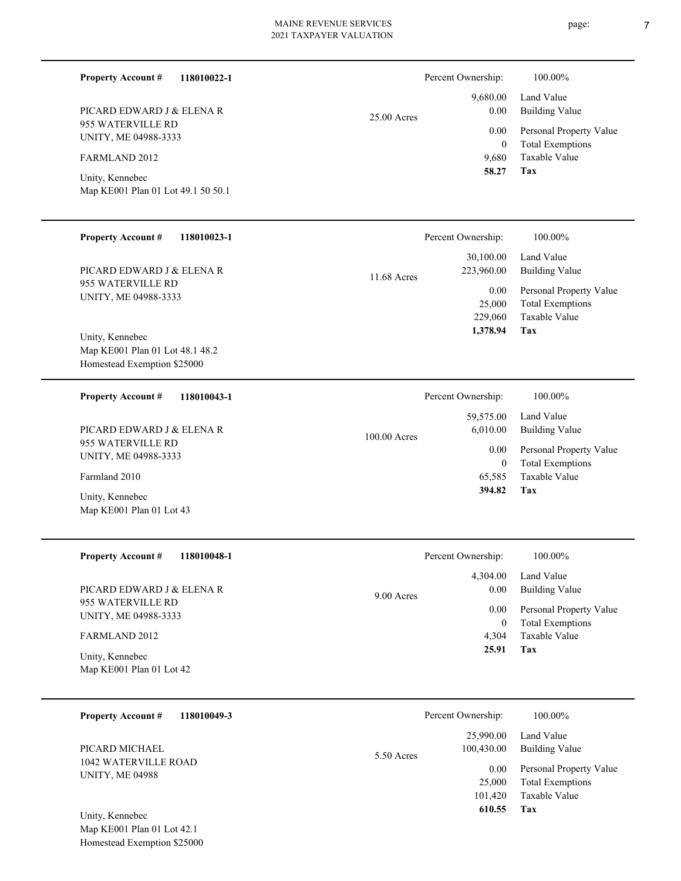page: 7

| <b>Property Account #</b><br>118010022-1                                     |               | Percent Ownership:                    | 100.00%                                                                    |
|------------------------------------------------------------------------------|---------------|---------------------------------------|----------------------------------------------------------------------------|
| PICARD EDWARD J & ELENA R                                                    | $25.00$ Acres | 9,680.00<br>0.00                      | Land Value<br><b>Building Value</b>                                        |
| 955 WATERVILLE RD<br>UNITY, ME 04988-3333                                    |               | 0.00                                  | Personal Property Value                                                    |
| FARMLAND 2012                                                                |               | $\mathbf{0}$<br>9,680<br>58.27        | <b>Total Exemptions</b><br>Taxable Value<br><b>Tax</b>                     |
| Unity, Kennebec<br>Map KE001 Plan 01 Lot 49.1 50 50.1                        |               |                                       |                                                                            |
| <b>Property Account #</b><br>118010023-1                                     |               | Percent Ownership:                    | 100.00%                                                                    |
| PICARD EDWARD J & ELENA R                                                    |               | 30,100.00<br>223,960.00               | Land Value<br><b>Building Value</b>                                        |
| 955 WATERVILLE RD<br>UNITY, ME 04988-3333<br>Unity, Kennebec                 | 11.68 Acres   | 0.00<br>25,000<br>229,060<br>1,378.94 | Personal Property Value<br><b>Total Exemptions</b><br>Taxable Value<br>Tax |
| Map KE001 Plan 01 Lot 48.1 48.2<br>Homestead Exemption \$25000               |               |                                       |                                                                            |
| <b>Property Account #</b><br>118010043-1                                     |               | Percent Ownership:                    | 100.00%                                                                    |
| PICARD EDWARD J & ELENA R                                                    | 100.00 Acres  | 59,575.00<br>6,010.00                 | Land Value<br><b>Building Value</b>                                        |
| 955 WATERVILLE RD<br>UNITY, ME 04988-3333                                    |               | 0.00<br>$\mathbf{0}$                  | Personal Property Value<br><b>Total Exemptions</b>                         |
| Farmland 2010                                                                |               | 65,585<br>394.82                      | Taxable Value<br>Tax                                                       |
| Unity, Kennebec<br>Map KE001 Plan 01 Lot 43                                  |               |                                       |                                                                            |
| <b>Property Account #</b><br>118010048-1                                     |               | Percent Ownership:                    | 100.00%                                                                    |
| PICARD EDWARD J & ELENA R                                                    | 9.00 Acres    | 4,304.00<br>0.00                      | Land Value<br><b>Building Value</b>                                        |
| 955 WATERVILLE RD<br>UNITY, ME 04988-3333                                    |               | 0.00<br>$\mathbf{0}$                  | Personal Property Value<br><b>Total Exemptions</b>                         |
| FARMLAND 2012                                                                |               | 4,304<br>25.91                        | Taxable Value<br>Tax                                                       |
| Unity, Kennebec<br>Map KE001 Plan 01 Lot 42                                  |               |                                       |                                                                            |
| 118010049-3<br><b>Property Account #</b>                                     |               | Percent Ownership:                    | 100.00%                                                                    |
| PICARD MICHAEL                                                               | 5.50 Acres    | 25,990.00<br>100,430.00               | Land Value<br><b>Building Value</b>                                        |
| 1042 WATERVILLE ROAD<br><b>UNITY, ME 04988</b>                               |               | 0.00<br>25,000<br>101,420<br>610.55   | Personal Property Value<br><b>Total Exemptions</b><br>Taxable Value<br>Tax |
| Unity, Kennebec<br>Map KE001 Plan 01 Lot 42.1<br>Homestead Exemption \$25000 |               |                                       |                                                                            |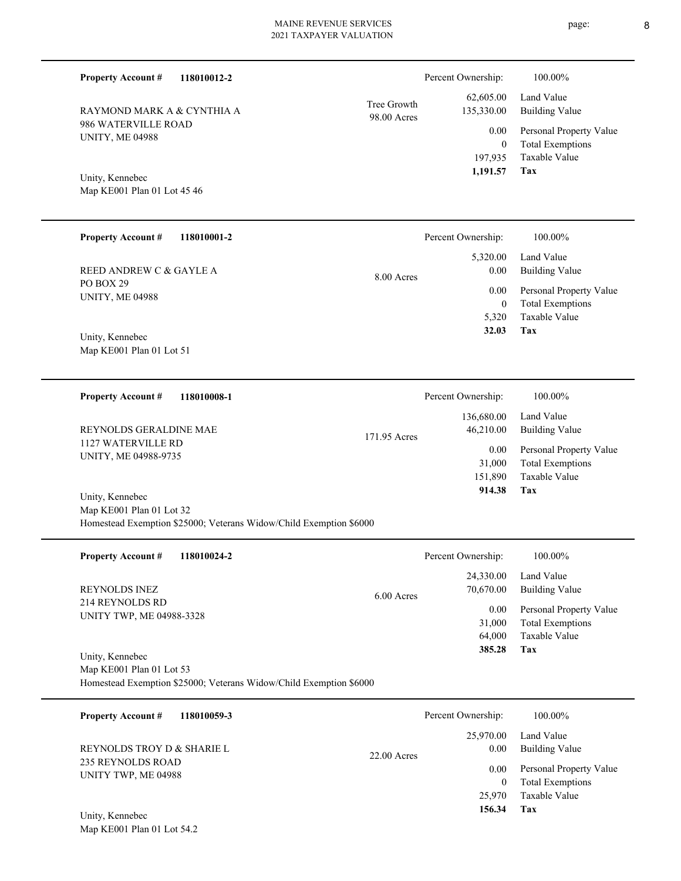| <b>Property Account #</b>                                                                       | 118010012-2 |                            | Percent Ownership:                              | 100.00%                                                                    |
|-------------------------------------------------------------------------------------------------|-------------|----------------------------|-------------------------------------------------|----------------------------------------------------------------------------|
| RAYMOND MARK A & CYNTHIA A                                                                      |             | Tree Growth<br>98.00 Acres | 62,605.00<br>135,330.00                         | Land Value<br><b>Building Value</b>                                        |
| 986 WATERVILLE ROAD<br><b>UNITY, ME 04988</b><br>Unity, Kennebec<br>Map KE001 Plan 01 Lot 45 46 |             |                            | 0.00<br>$\boldsymbol{0}$<br>197,935<br>1,191.57 | Personal Property Value<br><b>Total Exemptions</b><br>Taxable Value<br>Tax |
|                                                                                                 |             |                            |                                                 |                                                                            |
| <b>Property Account #</b>                                                                       | 118010001-2 |                            | Percent Ownership:                              | 100.00%                                                                    |
| REED ANDREW C & GAYLE A                                                                         |             | 8.00 Acres                 | 5,320.00<br>0.00                                | Land Value<br><b>Building Value</b>                                        |
| PO BOX 29<br><b>UNITY, ME 04988</b>                                                             |             |                            | 0.00                                            | Personal Property Value                                                    |
|                                                                                                 |             |                            | $\mathbf{0}$<br>5,320                           | <b>Total Exemptions</b><br><b>Taxable Value</b>                            |
| Unity, Kennebec                                                                                 |             |                            | 32.03                                           | Tax                                                                        |
| Map KE001 Plan 01 Lot 51                                                                        |             |                            |                                                 |                                                                            |
| <b>Property Account #</b>                                                                       | 118010008-1 |                            | Percent Ownership:                              | 100.00%                                                                    |
|                                                                                                 |             |                            | 136,680.00                                      | Land Value                                                                 |
| REYNOLDS GERALDINE MAE<br>1127 WATERVILLE RD                                                    |             | 171.95 Acres               | 46,210.00                                       | <b>Building Value</b>                                                      |
| UNITY, ME 04988-9735                                                                            |             |                            | 0.00<br>31,000                                  | Personal Property Value<br><b>Total Exemptions</b>                         |
|                                                                                                 |             |                            | 151,890                                         | Taxable Value                                                              |
| Unity, Kennebec                                                                                 |             |                            | 914.38                                          | Tax                                                                        |
| Map KE001 Plan 01 Lot 32                                                                        |             |                            |                                                 |                                                                            |
| Homestead Exemption \$25000; Veterans Widow/Child Exemption \$6000                              |             |                            |                                                 |                                                                            |
| <b>Property Account #</b>                                                                       | 118010024-2 |                            | Percent Ownership:                              | 100.00%                                                                    |
|                                                                                                 |             |                            |                                                 |                                                                            |

| $110 \mu U$ , $100 \mu U \pi$<br>1100100272                                | T CIUCHIL O WHOLSHIP. |                        | 100.0070                     |
|----------------------------------------------------------------------------|-----------------------|------------------------|------------------------------|
| <b>REYNOLDS INEZ</b><br>214 REYNOLDS RD<br><b>UNITY TWP, ME 04988-3328</b> | $6.00$ Acres          | 24,330.00<br>70,670.00 | Land Value<br>Building Value |
|                                                                            |                       | 0.00                   | Personal Property Value      |
|                                                                            |                       | 31,000                 | <b>Total Exemptions</b>      |
|                                                                            |                       | 64,000                 | Taxable Value                |
| Unity, Kennebec                                                            |                       | 385.28                 | Tax                          |
|                                                                            |                       |                        |                              |

Map KE001 Plan 01 Lot 53 Homestead Exemption \$25000; Veterans Widow/Child Exemption \$6000

| 118010059-3<br><b>Property Account #</b>                               | Percent Ownership:                 | 100.00%                                            |
|------------------------------------------------------------------------|------------------------------------|----------------------------------------------------|
| REYNOLDS TROY D & SHARIE L<br>235 REYNOLDS ROAD<br>UNITY TWP, ME 04988 | 25,970.00<br>0.00<br>$22.00$ Acres | Land Value<br><b>Building Value</b>                |
|                                                                        | 0.00<br>$\overline{0}$             | Personal Property Value<br><b>Total Exemptions</b> |
| Unity, Kennebec                                                        | 25,970<br>156.34                   | Taxable Value<br>Tax                               |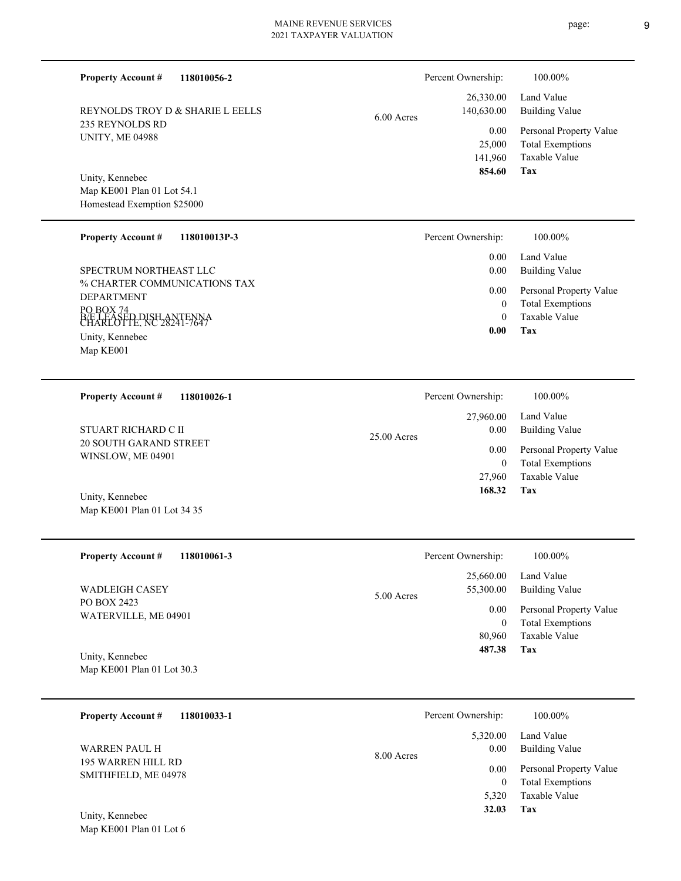Map KE001 Plan 01 Lot 54.1 Homestead Exemption \$25000 Unity, Kennebec

**118010056-2**

**118010013P-3**

**118010026-1**

REYNOLDS TROY D & SHARIE L EELLS

% CHARTER COMMUNICATIONS TAX DEPARTMENT PO BOX 74 BÆ LEASED DISH ANTENNA<br>CHARLOTTE, NC 28241-7647 Map KE001 Unity, Kennebec SPECTRUM NORTHEAST LLC

235 REYNOLDS RD UNITY, ME 04988

**Property Account #**

**Property Account #**

20 SOUTH GARAND STREET STUART RICHARD C II

Map KE001 Plan 01 Lot 34 35 Unity, Kennebec

WINSLOW, ME 04901

**Property Account #**

**118010061-3 Tax** Taxable Value Total Exemptions Building Value Land Value PO BOX 2423 WATERVILLE, ME 04901 **Property Account #** Map KE001 Plan 01 Lot 30.3 Unity, Kennebec WADLEIGH CASEY 80,960 0  **487.38** 25,660.00 55,300.00 0.00 5.0 Percent Ownership:  $100.00\%$ 

**118010033-1 Tax** Taxable Value Total Exemptions Personal Property Value Building Value Land Value 195 WARREN HILL RD SMITHFIELD, ME 04978 **Property Account #** Unity, Kennebec WARREN PAUL H 5,320 0  **32.03** 5,320.00 0.00 0.00 8.00 Acres Percent Ownership: 100.00%

Map KE001 Plan 01 Lot 6

| Percent Ownership:      | 100.00%                             |
|-------------------------|-------------------------------------|
| 26,330.00<br>140,630.00 | Land Value<br><b>Building Value</b> |
| 0.00                    | Personal Property Value             |
| 25,000                  | <b>Total Exemptions</b>             |
| 141,960                 | Taxable Value                       |
| 854.60                  | Tax                                 |
|                         |                                     |

|               | 0.00               | Tax                     |
|---------------|--------------------|-------------------------|
|               |                    |                         |
|               |                    |                         |
|               | Percent Ownership: | 100.00%                 |
|               | 27,960.00          | Land Value              |
| $25.00$ Acres | 0.00               | <b>Building Value</b>   |
|               | 0.00               | Personal Property Value |
|               | $\theta$           | <b>Total Exemptions</b> |
|               | 27,960             | Taxable Value           |
|               | 168.32             | Tax                     |

 0 0

 0.00 0.00 0.00

Percent Ownership:  $100.00\%$ 

Taxable Value Total Exemptions Personal Property Value

Building Value Land Value

|          | Percent Ownership: | 100.00%                 |
|----------|--------------------|-------------------------|
|          | 25,660.00          | Land Value              |
| 00 Acres | 55,300.00          | <b>Building Value</b>   |
|          | 0.00               | Personal Property Value |
|          | 0                  | <b>Total Exemptions</b> |
|          | 80,960             | Taxable Value           |
|          | 487.38             | Tax                     |
|          |                    |                         |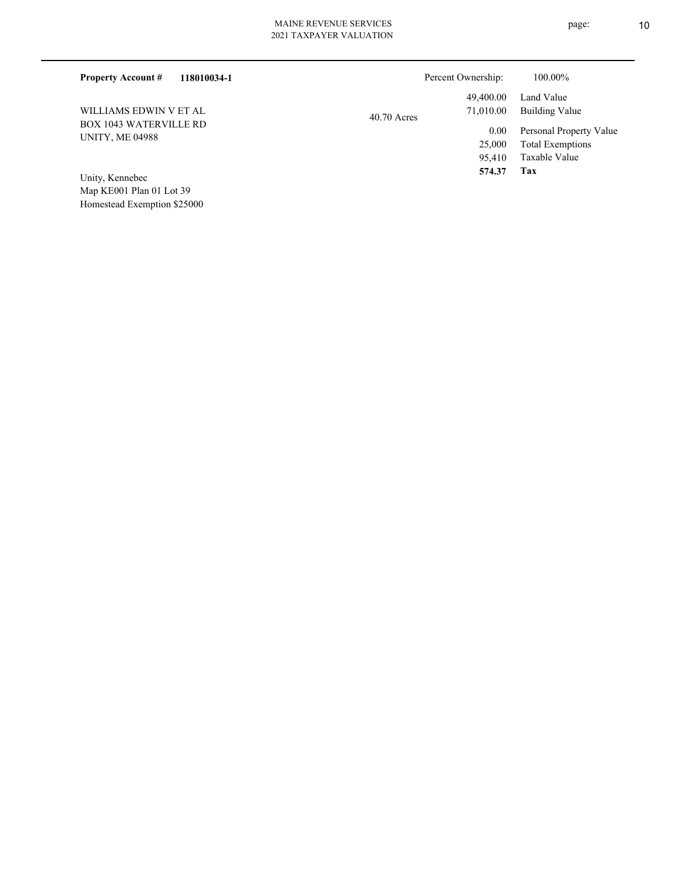| Percent Ownership: | 100.00%                 |
|--------------------|-------------------------|
| 49,400.00          | Land Value              |
| 71,010.00          | Building Value          |
| 0.00               | Personal Property Value |
| 25,000             | <b>Total Exemptions</b> |
| 95.410             | Taxable Value           |
| 574.37             | Tax                     |
|                    | $40.70$ Acres           |

Map KE001 Plan 01 Lot 39 Homestead Exemption \$25000 Unity, Kennebec